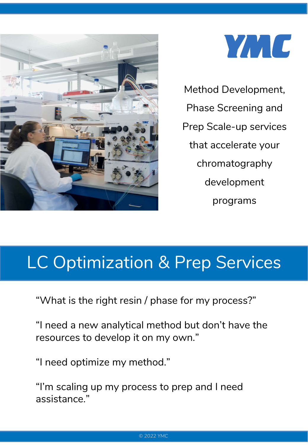



Method Development, Phase Screening and Prep Scale-up services that accelerate your chromatography development programs

## LC Optimization & Prep Services

"What is the right resin / phase for my process?"

"I need a new analytical method but don't have the resources to develop it on my own."

"I need optimize my method."

"I'm scaling up my process to prep and I need assistance."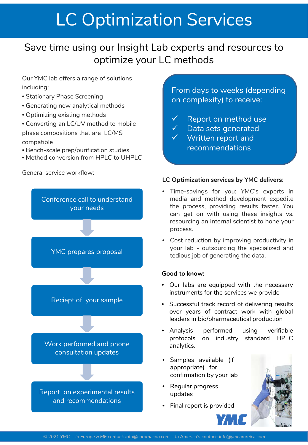# LC Optimization Services

### Save time using our Insight Lab experts and resources to optimize your LC methods

Our YMC lab offers a range of solutions including:

- Stationary Phase Screening
- Generating new analytical methods
- Optimizing existing methods
- Converting an LC/UV method to mobile phase compositions that are LC/MS compatible
- Bench-scale prep/purification studies
- Method conversion from HPLC to UHPLC

General service workflow:



From days to weeks (depending on complexity) to receive:

- $\checkmark$  Report on method use
- Data sets generated
- $\overline{\mathsf{v}}$  Written report and recommendations

#### **LC Optimization services by YMC delivers**:

- Time-savings for you: YMC's experts in media and method development expedite the process, providing results faster. You can get on with using these insights vs. resourcing an internal scientist to hone your process.
- Cost reduction by improving productivity in your lab - outsourcing the specialized and tedious job of generating the data.

#### **Good to know:**

- Our labs are equipped with the necessary instruments for the services we provide
- Successful track record of delivering results over years of contract work with global leaders in bio/pharmaceutical production
- Analysis performed using verifiable protocols on industry standard HPLC analytics.
- Samples available (if appropriate) for confirmation by your lab
- Regular progress updates
- Final report is provided

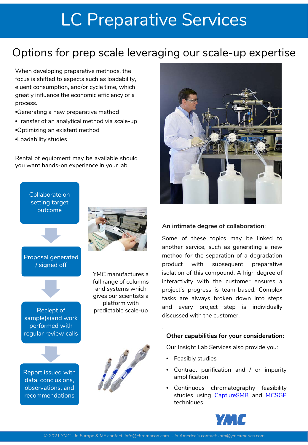## LC Preparative Services

### Options for prep scale leveraging our scale-up expertise

When developing preparative methods, the focus is shifted to aspects such as loadability, eluent consumption, and/or cycle time, which greatly influence the economic efficiency of a process.

- •Generating a new preparative method
- •Transfer of an analytical method via scale-up
- •Optimizing an existent method
- •Loadability studies

Rental of equipment may be available should you want hands-on experience in your lab.





Proposal generated / signed off

Reciept of sample(s)and work performed with regular review calls



YMC manufactures a full range of columns and systems which gives our scientists a platform with predictable scale-up



#### **An intimate degree of collaboration**:

Some of these topics may be linked to another service, such as generating a new method for the separation of a degradation product with subsequent preparative isolation of this compound. A high degree of interactivity with the customer ensures a project's progress is team-based. Complex tasks are always broken down into steps and every project step is individually discussed with the customer.

#### **Other capabilities for your consideration:**

Our Insight Lab Services also provide you:

- Feasibly studies
- Contract purification and / or impurity amplification
- Continuous chromatography feasibility studies using [CaptureSMB](https://chromacon.com/en/technology/continuous-capture-processes) and [MCSGP](https://chromacon.com/en/technology/continuous-polishing-processes-mcsgp-1) techniques







.